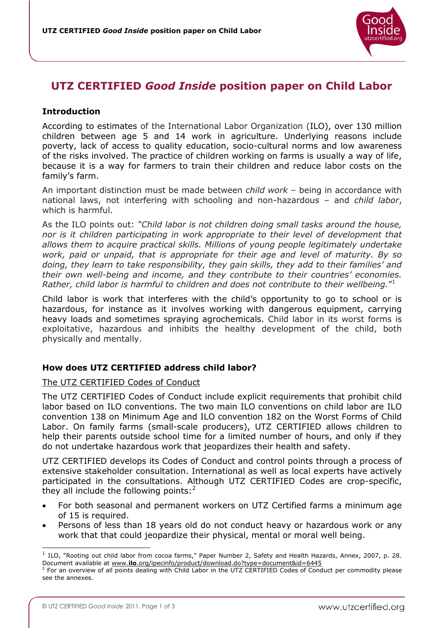

# **UTZ CERTIFIED** *Good Inside* **position paper on Child Labor**

## **Introduction**

According to estimates of the International Labor Organization (ILO), over 130 million children between age 5 and 14 work in agriculture. Underlying reasons include poverty, lack of access to quality education, socio-cultural norms and low awareness of the risks involved. The practice of children working on farms is usually a way of life, because it is a way for farmers to train their children and reduce labor costs on the family's farm.

An important distinction must be made between *child work* – being in accordance with national laws, not interfering with schooling and non-hazardous – and *child labor*, which is harmful.

As the ILO points out: *"Child labor is not children doing small tasks around the house, nor is it children participating in work appropriate to their level of development that allows them to acquire practical skills. Millions of young people legitimately undertake work, paid or unpaid, that is appropriate for their age and level of maturity. By so doing, they learn to take responsibility, they gain skills, they add to their families' and their own well-being and income, and they contribute to their countries' economies. Rather, child labor is harmful to children and does not contribute to their wellbeing.*" 1

Child labor is work that interferes with the child"s opportunity to go to school or is hazardous, for instance as it involves working with dangerous equipment, carrying heavy loads and sometimes spraying agrochemicals. Child labor in its worst forms is exploitative, hazardous and inhibits the healthy development of the child, both physically and mentally.

### **How does UTZ CERTIFIED address child labor?**

### The UTZ CERTIFIED Codes of Conduct

The UTZ CERTIFIED Codes of Conduct include explicit requirements that prohibit child labor based on ILO conventions. The two main ILO conventions on child labor are ILO convention 138 on Minimum Age and ILO convention 182 on the Worst Forms of Child Labor. On family farms (small-scale producers), UTZ CERTIFIED allows children to help their parents outside school time for a limited number of hours, and only if they do not undertake hazardous work that jeopardizes their health and safety.

UTZ CERTIFIED develops its Codes of Conduct and control points through a process of extensive stakeholder consultation. International as well as local experts have actively participated in the consultations. Although UTZ CERTIFIED Codes are crop-specific, they all include the following points: $2^2$ 

- For both seasonal and permanent workers on UTZ Certified farms a minimum age of 15 is required.
- Persons of less than 18 years old do not conduct heavy or hazardous work or any work that that could jeopardize their physical, mental or moral well being.

ł

<sup>1</sup> ILO, "Rooting out child labor from cocoa farms," Paper Number 2, Safety and Health Hazards, Annex, 2007, p. 28. Document available at www.**ilo**[.org/ipecinfo/product/download.do?type=document&id=6445](http://www.ilo.org/ipecinfo/product/download.do?type=document&id=6445)

<sup>&</sup>lt;sup>2</sup> For an overview of all points dealing with Child Labor in the UTZ CERTIFIED Codes of Conduct per commodity please see the annexes.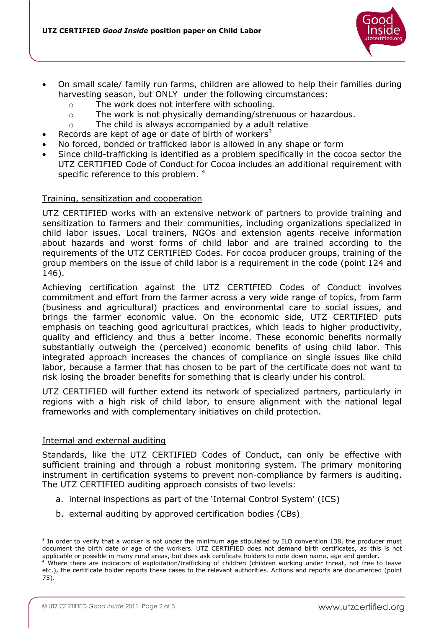

- On small scale/ family run farms, children are allowed to help their families during harvesting season, but ONLY under the following circumstances:
	- o The work does not interfere with schooling.
	- $\circ$  The work is not physically demanding/strenuous or hazardous.
	- o The child is always accompanied by a adult relative
- Records are kept of age or date of birth of workers<sup>3</sup>
- No forced, bonded or trafficked labor is allowed in any shape or form
- Since child-trafficking is identified as a problem specifically in the cocoa sector the UTZ CERTIFIED Code of Conduct for Cocoa includes an additional requirement with specific reference to this problem. <sup>4</sup>

### Training, sensitization and cooperation

UTZ CERTIFIED works with an extensive network of partners to provide training and sensitization to farmers and their communities, including organizations specialized in child labor issues. Local trainers, NGOs and extension agents receive information about hazards and worst forms of child labor and are trained according to the requirements of the UTZ CERTIFIED Codes. For cocoa producer groups, training of the group members on the issue of child labor is a requirement in the code (point 124 and 146).

Achieving certification against the UTZ CERTIFIED Codes of Conduct involves commitment and effort from the farmer across a very wide range of topics, from farm (business and agricultural) practices and environmental care to social issues, and brings the farmer economic value. On the economic side, UTZ CERTIFIED puts emphasis on teaching good agricultural practices, which leads to higher productivity, quality and efficiency and thus a better income. These economic benefits normally substantially outweigh the (perceived) economic benefits of using child labor. This integrated approach increases the chances of compliance on single issues like child labor, because a farmer that has chosen to be part of the certificate does not want to risk losing the broader benefits for something that is clearly under his control.

UTZ CERTIFIED will further extend its network of specialized partners, particularly in regions with a high risk of child labor, to ensure alignment with the national legal frameworks and with complementary initiatives on child protection.

#### Internal and external auditing

ł

Standards, like the UTZ CERTIFIED Codes of Conduct, can only be effective with sufficient training and through a robust monitoring system. The primary monitoring instrument in certification systems to prevent non-compliance by farmers is auditing. The UTZ CERTIFIED auditing approach consists of two levels:

- a. internal inspections as part of the "Internal Control System" (ICS)
- b. external auditing by approved certification bodies (CBs)

<sup>&</sup>lt;sup>3</sup> In order to verify that a worker is not under the minimum age stipulated by ILO convention 138, the producer must document the birth date or age of the workers. UTZ CERTIFIED does not demand birth certificates, as this is not applicable or possible in many rural areas, but does ask certificate holders to note down name, age and gender.

<sup>&</sup>lt;sup>4</sup> Where there are indicators of exploitation/trafficking of children (children working under threat, not free to leave etc.), the certificate holder reports these cases to the relevant authorities. Actions and reports are documented (point 75).